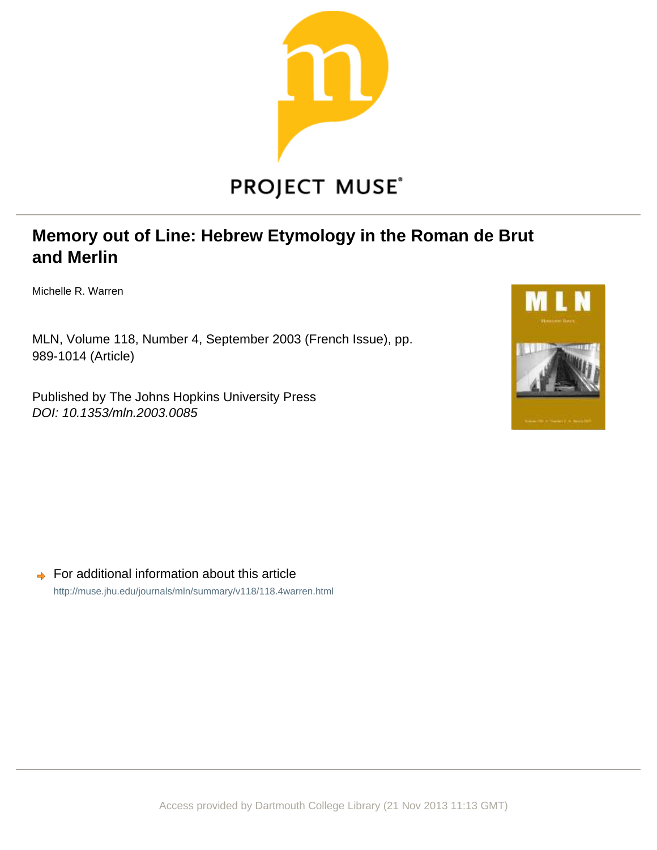

# PROJECT MUSE®

## **Memory out of Line: Hebrew Etymology in the Roman de Brut and Merlin**

Michelle R. Warren

MLN, Volume 118, Number 4, September 2003 (French Issue), pp. 989-1014 (Article)

Published by The Johns Hopkins University Press DOI: 10.1353/mln.2003.0085



For additional information about this article <http://muse.jhu.edu/journals/mln/summary/v118/118.4warren.html>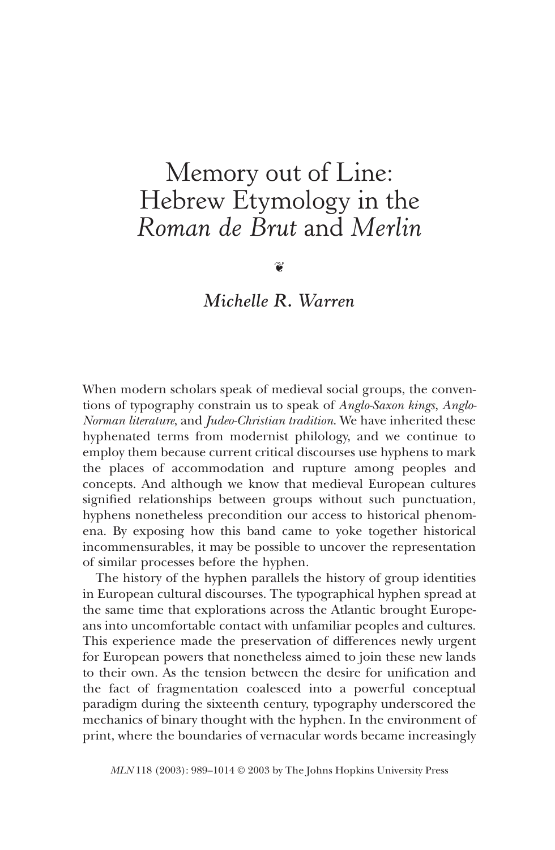### Memory out of Line: Hebrew Etymology in the *Roman de Brut* and *Merlin*

❦

### *Michelle R. Warren*

When modern scholars speak of medieval social groups, the conventions of typography constrain us to speak of *Anglo-Saxon kings*, *Anglo-Norman literature*, and *Judeo-Christian tradition*. We have inherited these hyphenated terms from modernist philology, and we continue to employ them because current critical discourses use hyphens to mark the places of accommodation and rupture among peoples and concepts. And although we know that medieval European cultures signified relationships between groups without such punctuation, hyphens nonetheless precondition our access to historical phenomena. By exposing how this band came to yoke together historical incommensurables, it may be possible to uncover the representation of similar processes before the hyphen.

The history of the hyphen parallels the history of group identities in European cultural discourses. The typographical hyphen spread at the same time that explorations across the Atlantic brought Europeans into uncomfortable contact with unfamiliar peoples and cultures. This experience made the preservation of differences newly urgent for European powers that nonetheless aimed to join these new lands to their own. As the tension between the desire for unification and the fact of fragmentation coalesced into a powerful conceptual paradigm during the sixteenth century, typography underscored the mechanics of binary thought with the hyphen. In the environment of print, where the boundaries of vernacular words became increasingly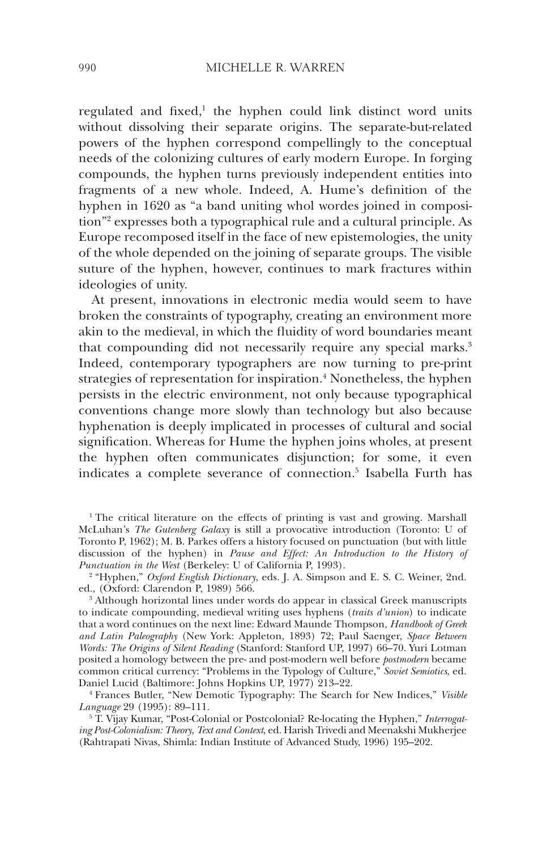regulated and fixed,<sup>1</sup> the hyphen could link distinct word units without dissolving their separate origins. The separate-but-related powers of the hyphen correspond compellingly to the conceptual needs of the colonizing cultures of early modern Europe. In forging compounds, the hyphen turns previously independent entities into fragments of a new whole. Indeed, A. Hume's definition of the hyphen in 1620 as "a band uniting whol wordes joined in composition"<sup>2</sup> expresses both a typographical rule and a cultural principle. As Europe recomposed itself in the face of new epistemologies, the unity of the whole depended on the joining of separate groups. The visible suture of the hyphen, however, continues to mark fractures within ideologies of unity.

At present, innovations in electronic media would seem to have broken the constraints of typography, creating an environment more akin to the medieval, in which the fluidity of word boundaries meant that compounding did not necessarily require any special marks.<sup>3</sup> Indeed, contemporary typographers are now turning to pre-print strategies of representation for inspiration.<sup>4</sup> Nonetheless, the hyphen persists in the electric environment, not only because typographical conventions change more slowly than technology but also because hyphenation is deeply implicated in processes of cultural and social signification. Whereas for Hume the hyphen joins wholes, at present the hyphen often communicates disjunction; for some, it even indicates a complete severance of connection.<sup>5</sup> Isabella Furth has

<sup>1</sup> The critical literature on the effects of printing is vast and growing. Marshall McLuhan's *The Gutenberg Galaxy* is still a provocative introduction (Toronto: U of Toronto P, 1962); M. B. Parkes offers a history focused on punctuation (but with little discussion of the hyphen) in *Pause and Effect: An Introduction to the History of Punctuation in the West* (Berkeley: U of California P, 1993).

2 "Hyphen," *Oxford English Dictionary*, eds. J. A. Simpson and E. S. C. Weiner, 2nd. ed., (Oxford: Clarendon P, 1989) 566.

<sup>3</sup> Although horizontal lines under words do appear in classical Greek manuscripts to indicate compounding, medieval writing uses hyphens (*traits d'union*) to indicate that a word continues on the next line: Edward Maunde Thompson, *Handbook of Greek and Latin Paleography* (New York: Appleton, 1893) 72; Paul Saenger, *Space Between Words: The Origins of Silent Reading* (Stanford: Stanford UP, 1997) 66–70. Yuri Lotman posited a homology between the pre- and post-modern well before *postmodern* became common critical currency: "Problems in the Typology of Culture," *Soviet Semiotics*, ed. Daniel Lucid (Baltimore: Johns Hopkins UP, 1977) 213–22.

<sup>4</sup> Frances Butler, "New Demotic Typography: The Search for New Indices," *Visible Language* 29 (1995): 89–111.

<sup>5</sup> T. Vijay Kumar, "Post-Colonial or Postcolonial? Re-locating the Hyphen," *Interrogating Post-Colonialism: Theory, Text and Context*, ed. Harish Trivedi and Meenakshi Mukherjee (Rahtrapati Nivas, Shimla: Indian Institute of Advanced Study, 1996) 195–202.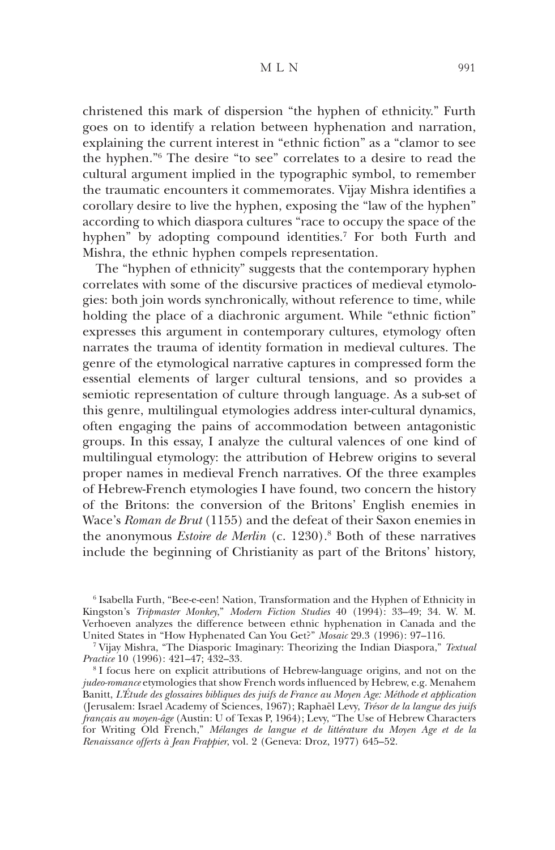#### M L N 991

christened this mark of dispersion "the hyphen of ethnicity." Furth goes on to identify a relation between hyphenation and narration, explaining the current interest in "ethnic fiction" as a "clamor to see the hyphen." 6 The desire "to see" correlates to a desire to read the cultural argument implied in the typographic symbol, to remember the traumatic encounters it commemorates. Vijay Mishra identifies a corollary desire to live the hyphen, exposing the "law of the hyphen" according to which diaspora cultures "race to occupy the space of the hyphen" by adopting compound identities.<sup>7</sup> For both Furth and Mishra, the ethnic hyphen compels representation.

The "hyphen of ethnicity" suggests that the contemporary hyphen correlates with some of the discursive practices of medieval etymologies: both join words synchronically, without reference to time, while holding the place of a diachronic argument. While "ethnic fiction" expresses this argument in contemporary cultures, etymology often narrates the trauma of identity formation in medieval cultures. The genre of the etymological narrative captures in compressed form the essential elements of larger cultural tensions, and so provides a semiotic representation of culture through language. As a sub-set of this genre, multilingual etymologies address inter-cultural dynamics, often engaging the pains of accommodation between antagonistic groups. In this essay, I analyze the cultural valences of one kind of multilingual etymology: the attribution of Hebrew origins to several proper names in medieval French narratives. Of the three examples of Hebrew-French etymologies I have found, two concern the history of the Britons: the conversion of the Britons' English enemies in Wace's *Roman de Brut* (1155) and the defeat of their Saxon enemies in the anonymous *Estoire de Merlin* (c. 1230).<sup>8</sup> Both of these narratives include the beginning of Christianity as part of the Britons' history,

<sup>6</sup> Isabella Furth, "Bee-e-een! Nation, Transformation and the Hyphen of Ethnicity in Kingston's *Tripmaster Monkey*," *Modern Fiction Studies* 40 (1994): 33–49; 34. W. M. Verhoeven analyzes the difference between ethnic hyphenation in Canada and the United States in "How Hyphenated Can You Get?" *Mosaic* 29.3 (1996): 97–116.

<sup>7</sup> Vijay Mishra, "The Diasporic Imaginary: Theorizing the Indian Diaspora," *Textual Practice* 10 (1996): 421–47; 432–33.

<sup>8</sup> I focus here on explicit attributions of Hebrew-language origins, and not on the *judeo-romance* etymologies that show French words influenced by Hebrew, e.g. Menahem Banitt, *L'Étude des glossaires bibliques des juifs de France au Moyen Age: Méthode et application* (Jerusalem: Israel Academy of Sciences, 1967); Raphaël Levy, *Trésor de la langue des juifs français au moyen-âge* (Austin: U of Texas P, 1964); Levy, "The Use of Hebrew Characters for Writing Old French," *Mélanges de langue et de littérature du Moyen Age et de la Renaissance offerts à Jean Frappier*, vol. 2 (Geneva: Droz, 1977) 645–52.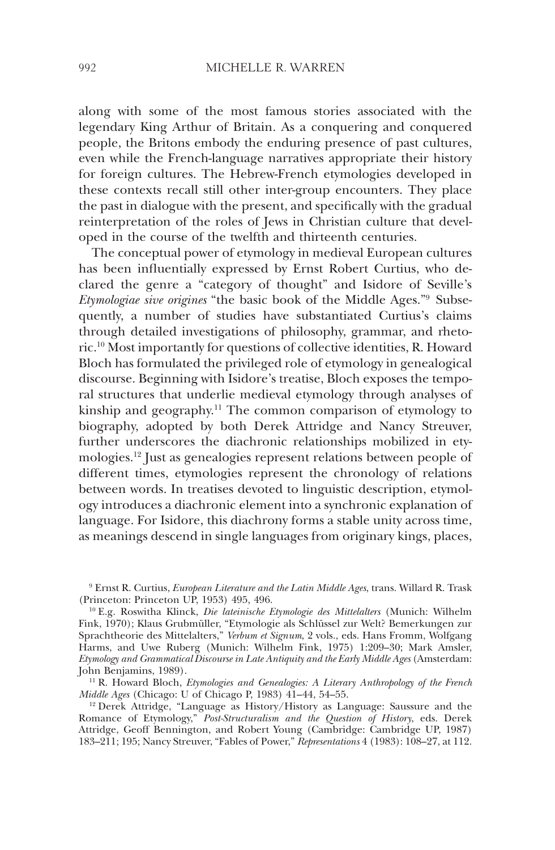along with some of the most famous stories associated with the legendary King Arthur of Britain. As a conquering and conquered people, the Britons embody the enduring presence of past cultures, even while the French-language narratives appropriate their history for foreign cultures. The Hebrew-French etymologies developed in these contexts recall still other inter-group encounters. They place the past in dialogue with the present, and specifically with the gradual reinterpretation of the roles of Jews in Christian culture that developed in the course of the twelfth and thirteenth centuries.

The conceptual power of etymology in medieval European cultures has been influentially expressed by Ernst Robert Curtius, who declared the genre a "category of thought" and Isidore of Seville's Etymologiae sive origines "the basic book of the Middle Ages."<sup>9</sup> Subsequently, a number of studies have substantiated Curtius's claims through detailed investigations of philosophy, grammar, and rhetoric.<sup>10</sup> Most importantly for questions of collective identities, R. Howard Bloch has formulated the privileged role of etymology in genealogical discourse. Beginning with Isidore's treatise, Bloch exposes the temporal structures that underlie medieval etymology through analyses of kinship and geography.<sup>11</sup> The common comparison of etymology to biography, adopted by both Derek Attridge and Nancy Streuver, further underscores the diachronic relationships mobilized in etymologies.<sup>12</sup> Just as genealogies represent relations between people of different times, etymologies represent the chronology of relations between words. In treatises devoted to linguistic description, etymology introduces a diachronic element into a synchronic explanation of language. For Isidore, this diachrony forms a stable unity across time, as meanings descend in single languages from originary kings, places,

<sup>9</sup> Ernst R. Curtius, *European Literature and the Latin Middle Ages*, trans. Willard R. Trask (Princeton: Princeton UP, 1953) 495, 496.

<sup>10</sup> E.g. Roswitha Klinck, *Die lateinische Etymologie des Mittelalters* (Munich: Wilhelm Fink, 1970); Klaus Grubmüller, "Etymologie als Schlüssel zur Welt? Bemerkungen zur Sprachtheorie des Mittelalters," *Verbum et Signum*, 2 vols., eds. Hans Fromm, Wolfgang Harms, and Uwe Ruberg (Munich: Wilhelm Fink, 1975) 1:209–30; Mark Amsler, *Etymology and Grammatical Discourse in Late Antiquity and the Early Middle Ages* (Amsterdam: John Benjamins, 1989).

<sup>11</sup> R. Howard Bloch, *Etymologies and Genealogies: A Literary Anthropology of the French Middle Ages* (Chicago: U of Chicago P, 1983) 41–44, 54–55.

<sup>&</sup>lt;sup>12</sup> Derek Attridge, "Language as History/History as Language: Saussure and the Romance of Etymology," *Post-Structuralism and the Question of History*, eds. Derek Attridge, Geoff Bennington, and Robert Young (Cambridge: Cambridge UP, 1987) 183–211; 195; Nancy Streuver, "Fables of Power," *Representations* 4 (1983): 108–27, at 112.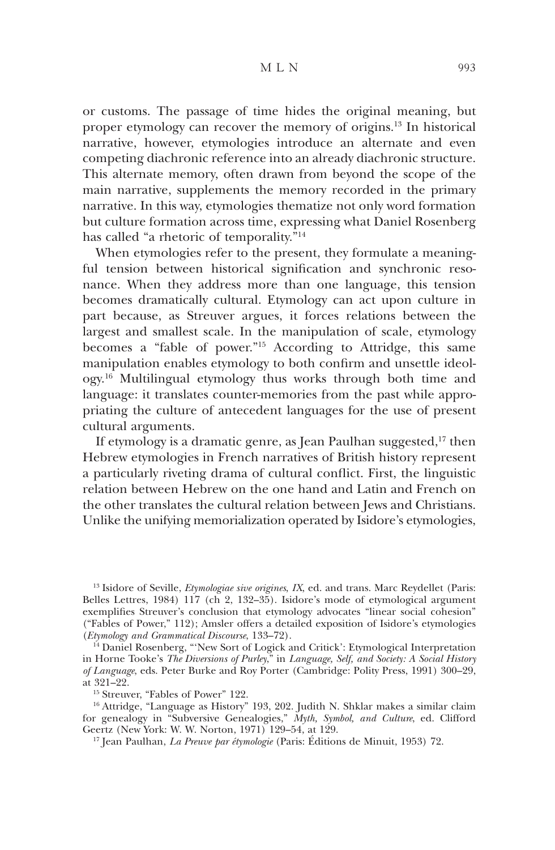#### M I. N 993

or customs. The passage of time hides the original meaning, but proper etymology can recover the memory of origins.<sup>13</sup> In historical narrative, however, etymologies introduce an alternate and even competing diachronic reference into an already diachronic structure. This alternate memory, often drawn from beyond the scope of the main narrative, supplements the memory recorded in the primary narrative. In this way, etymologies thematize not only word formation but culture formation across time, expressing what Daniel Rosenberg has called "a rhetoric of temporality." 14

When etymologies refer to the present, they formulate a meaningful tension between historical signification and synchronic resonance. When they address more than one language, this tension becomes dramatically cultural. Etymology can act upon culture in part because, as Streuver argues, it forces relations between the largest and smallest scale. In the manipulation of scale, etymology becomes a "fable of power." <sup>15</sup> According to Attridge, this same manipulation enables etymology to both confirm and unsettle ideology.<sup>16</sup> Multilingual etymology thus works through both time and language: it translates counter-memories from the past while appropriating the culture of antecedent languages for the use of present cultural arguments.

If etymology is a dramatic genre, as Jean Paulhan suggested, $17$  then Hebrew etymologies in French narratives of British history represent a particularly riveting drama of cultural conflict. First, the linguistic relation between Hebrew on the one hand and Latin and French on the other translates the cultural relation between Jews and Christians. Unlike the unifying memorialization operated by Isidore's etymologies,

<sup>14</sup> Daniel Rosenberg, "'New Sort of Logick and Critick': Etymological Interpretation in Horne Tooke's *The Diversions of Purley*," in *Language, Self, and Society: A Social History of Language*, eds. Peter Burke and Roy Porter (Cambridge: Polity Press, 1991) 300–29, at 321–22.

<sup>15</sup> Streuver, "Fables of Power" 122.

<sup>16</sup> Attridge, "Language as History" 193, 202. Judith N. Shklar makes a similar claim for genealogy in "Subversive Genealogies," *Myth, Symbol, and Culture*, ed. Clifford Geertz (New York: W. W. Norton, 1971) 129–54, at 129.

<sup>17</sup> Jean Paulhan, *La Preuve par étymologie* (Paris: Éditions de Minuit, 1953) 72.

<sup>13</sup> Isidore of Seville, *Etymologiae sive origines*, *IX*, ed. and trans. Marc Reydellet (Paris: Belles Lettres, 1984) 117 (ch 2, 132–35). Isidore's mode of etymological argument exemplifies Streuver's conclusion that etymology advocates "linear social cohesion" ("Fables of Power," 112); Amsler offers a detailed exposition of Isidore's etymologies (*Etymology and Grammatical Discourse*, 133–72).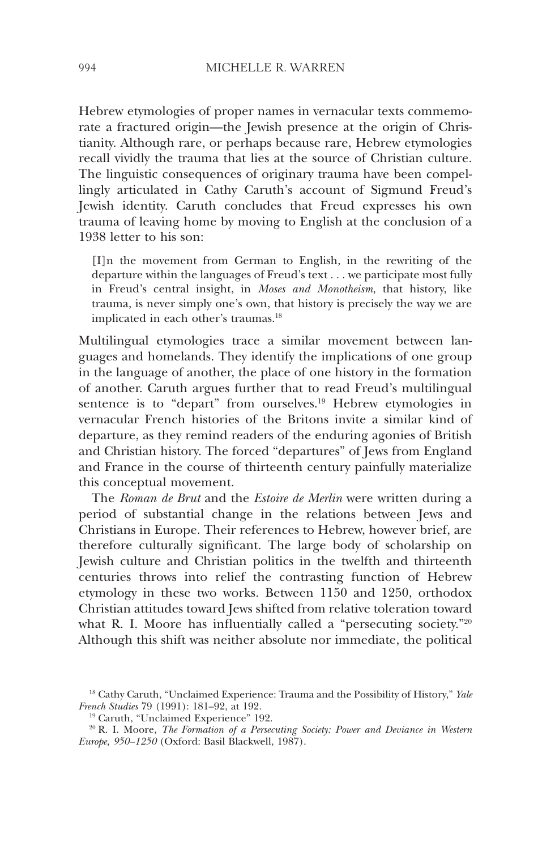Hebrew etymologies of proper names in vernacular texts commemorate a fractured origin—the Jewish presence at the origin of Christianity. Although rare, or perhaps because rare, Hebrew etymologies recall vividly the trauma that lies at the source of Christian culture. The linguistic consequences of originary trauma have been compellingly articulated in Cathy Caruth's account of Sigmund Freud's Jewish identity. Caruth concludes that Freud expresses his own trauma of leaving home by moving to English at the conclusion of a 1938 letter to his son:

[I]n the movement from German to English, in the rewriting of the departure within the languages of Freud's text . . . we participate most fully in Freud's central insight, in *Moses and Monotheism*, that history, like trauma, is never simply one's own, that history is precisely the way we are implicated in each other's traumas.<sup>18</sup>

Multilingual etymologies trace a similar movement between languages and homelands. They identify the implications of one group in the language of another, the place of one history in the formation of another. Caruth argues further that to read Freud's multilingual sentence is to "depart" from ourselves.<sup>19</sup> Hebrew etymologies in vernacular French histories of the Britons invite a similar kind of departure, as they remind readers of the enduring agonies of British and Christian history. The forced "departures" of Jews from England and France in the course of thirteenth century painfully materialize this conceptual movement.

The *Roman de Brut* and the *Estoire de Merlin* were written during a period of substantial change in the relations between Jews and Christians in Europe. Their references to Hebrew, however brief, are therefore culturally significant. The large body of scholarship on Jewish culture and Christian politics in the twelfth and thirteenth centuries throws into relief the contrasting function of Hebrew etymology in these two works. Between 1150 and 1250, orthodox Christian attitudes toward Jews shifted from relative toleration toward what R. I. Moore has influentially called a "persecuting society." 20 Although this shift was neither absolute nor immediate, the political

<sup>18</sup> Cathy Caruth, "Unclaimed Experience: Trauma and the Possibility of History," *Yale French Studies* 79 (1991): 181–92, at 192.

<sup>19</sup> Caruth, "Unclaimed Experience" 192.

<sup>20</sup> R. I. Moore, *The Formation of a Persecuting Society: Power and Deviance in Western Europe, 950–1250* (Oxford: Basil Blackwell, 1987).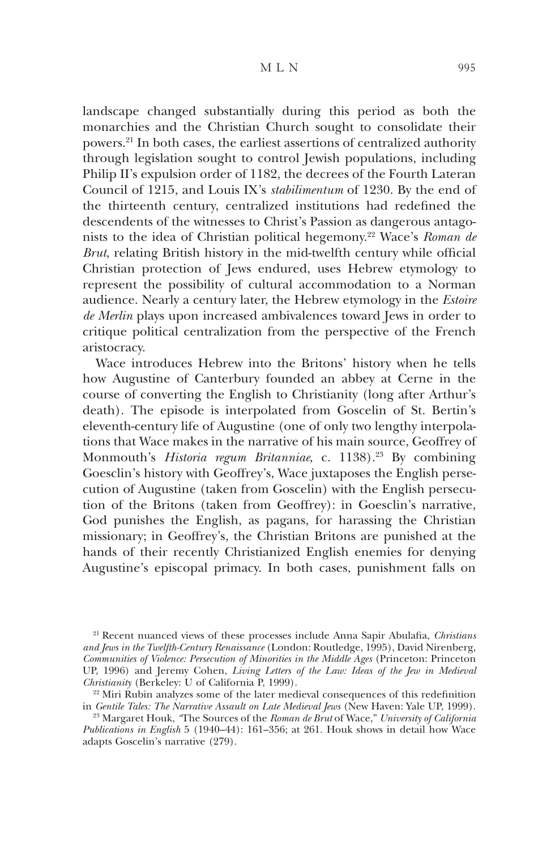landscape changed substantially during this period as both the monarchies and the Christian Church sought to consolidate their powers.<sup>21</sup> In both cases, the earliest assertions of centralized authority through legislation sought to control Jewish populations, including Philip II's expulsion order of 1182, the decrees of the Fourth Lateran Council of 1215, and Louis IX's *stabilimentum* of 1230. By the end of the thirteenth century, centralized institutions had redefined the descendents of the witnesses to Christ's Passion as dangerous antagonists to the idea of Christian political hegemony.<sup>22</sup> Wace's *Roman de Brut*, relating British history in the mid-twelfth century while official Christian protection of Jews endured, uses Hebrew etymology to represent the possibility of cultural accommodation to a Norman audience. Nearly a century later, the Hebrew etymology in the *Estoire de Merlin* plays upon increased ambivalences toward Jews in order to critique political centralization from the perspective of the French aristocracy.

Wace introduces Hebrew into the Britons' history when he tells how Augustine of Canterbury founded an abbey at Cerne in the course of converting the English to Christianity (long after Arthur's death). The episode is interpolated from Goscelin of St. Bertin's eleventh-century life of Augustine (one of only two lengthy interpolations that Wace makes in the narrative of his main source, Geoffrey of Monmouth's *Historia regum Britanniae*, c. 1138).<sup>23</sup> By combining Goesclin's history with Geoffrey's, Wace juxtaposes the English persecution of Augustine (taken from Goscelin) with the English persecution of the Britons (taken from Geoffrey): in Goesclin's narrative, God punishes the English, as pagans, for harassing the Christian missionary; in Geoffrey's, the Christian Britons are punished at the hands of their recently Christianized English enemies for denying Augustine's episcopal primacy. In both cases, punishment falls on

<sup>21</sup> Recent nuanced views of these processes include Anna Sapir Abulafia, *Christians and Jews in the Twelfth-Century Renaissance* (London: Routledge, 1995), David Nirenberg, *Communities of Violence: Persecution of Minorities in the Middle Ages* (Princeton: Princeton UP, 1996) and Jeremy Cohen, *Living Letters of the Law: Ideas of the Jew in Medieval Christianity* (Berkeley: U of California P, 1999).

<sup>22</sup> Miri Rubin analyzes some of the later medieval consequences of this redefinition in *Gentile Tales: The Narrative Assault on Late Medieval Jews* (New Haven: Yale UP, 1999).

<sup>23</sup> Margaret Houk, *"*The Sources of the *Roman de Brut* of Wace," *University of California Publications in English* 5 (1940–44): 161–356; at 261. Houk shows in detail how Wace adapts Goscelin's narrative (279).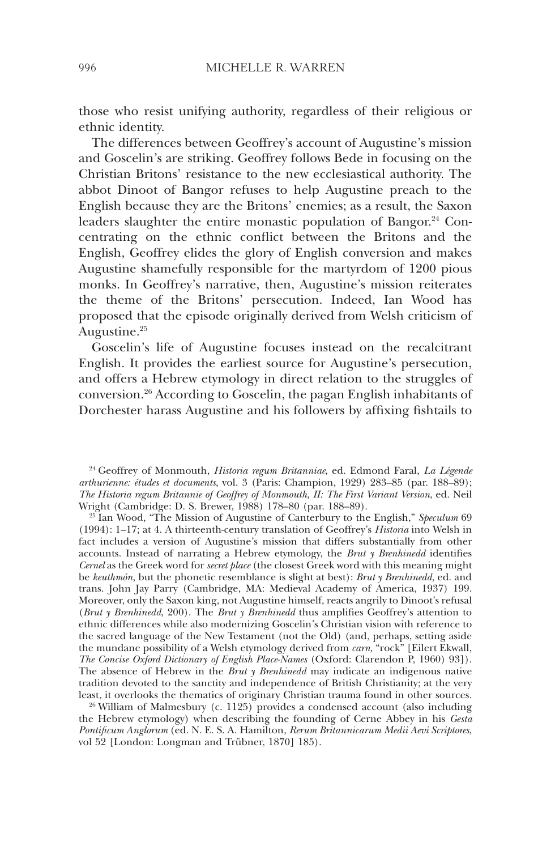those who resist unifying authority, regardless of their religious or ethnic identity.

The differences between Geoffrey's account of Augustine's mission and Goscelin's are striking. Geoffrey follows Bede in focusing on the Christian Britons' resistance to the new ecclesiastical authority. The abbot Dinoot of Bangor refuses to help Augustine preach to the English because they are the Britons' enemies; as a result, the Saxon leaders slaughter the entire monastic population of Bangor.<sup>24</sup> Concentrating on the ethnic conflict between the Britons and the English, Geoffrey elides the glory of English conversion and makes Augustine shamefully responsible for the martyrdom of 1200 pious monks. In Geoffrey's narrative, then, Augustine's mission reiterates the theme of the Britons' persecution. Indeed, Ian Wood has proposed that the episode originally derived from Welsh criticism of Augustine.<sup>25</sup>

Goscelin's life of Augustine focuses instead on the recalcitrant English. It provides the earliest source for Augustine's persecution, and offers a Hebrew etymology in direct relation to the struggles of conversion.<sup>26</sup> According to Goscelin, the pagan English inhabitants of Dorchester harass Augustine and his followers by affixing fishtails to

<sup>24</sup> Geoffrey of Monmouth, *Historia regum Britanniae*, ed. Edmond Faral, *La Légende arthurienne: études et documents*, vol. 3 (Paris: Champion, 1929) 283–85 (par. 188–89); *The Historia regum Britannie of Geoffrey of Monmouth, II: The First Variant Version*, ed. Neil Wright (Cambridge: D. S. Brewer, 1988) 178–80 (par. 188–89).

<sup>25</sup> Ian Wood, "The Mission of Augustine of Canterbury to the English," *Speculum* 69 (1994): 1–17; at 4. A thirteenth-century translation of Geoffrey's *Historia* into Welsh in fact includes a version of Augustine's mission that differs substantially from other accounts. Instead of narrating a Hebrew etymology, the *Brut y Brenhinedd* identifies *Cernel* as the Greek word for *secret place* (the closest Greek word with this meaning might be *keuthmón*, but the phonetic resemblance is slight at best): *Brut y Brenhinedd*, ed. and trans. John Jay Parry (Cambridge, MA: Medieval Academy of America, 1937) 199. Moreover, only the Saxon king, not Augustine himself, reacts angrily to Dinoot's refusal (*Brut y Brenhinedd*, 200). The *Brut y Brenhinedd* thus amplifies Geoffrey's attention to ethnic differences while also modernizing Goscelin's Christian vision with reference to the sacred language of the New Testament (not the Old) (and, perhaps, setting aside the mundane possibility of a Welsh etymology derived from *carn*, "rock" [Eilert Ekwall, *The Concise Oxford Dictionary of English Place-Names* (Oxford: Clarendon P, 1960) 93]). The absence of Hebrew in the *Brut y Brenhinedd* may indicate an indigenous native tradition devoted to the sanctity and independence of British Christianity; at the very least, it overlooks the thematics of originary Christian trauma found in other sources.

<sup>26</sup> William of Malmesbury (c. 1125) provides a condensed account (also including the Hebrew etymology) when describing the founding of Cerne Abbey in his *Gesta Pontificum Anglorum* (ed. N. E. S. A. Hamilton, *Rerum Britannicarum Medii Aevi Scriptores*, vol 52 [London: Longman and Trübner, 1870] 185).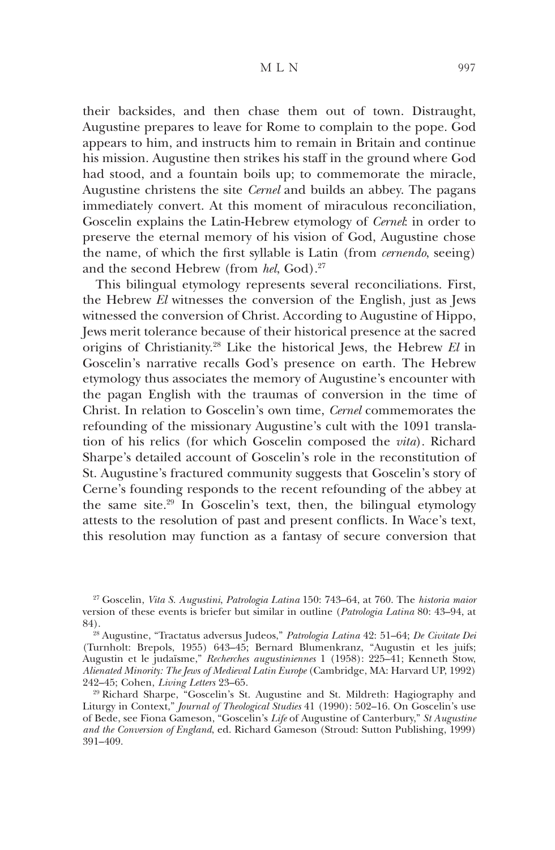#### M L N 997

their backsides, and then chase them out of town. Distraught, Augustine prepares to leave for Rome to complain to the pope. God appears to him, and instructs him to remain in Britain and continue his mission. Augustine then strikes his staff in the ground where God had stood, and a fountain boils up; to commemorate the miracle, Augustine christens the site *Cernel* and builds an abbey. The pagans immediately convert. At this moment of miraculous reconciliation, Goscelin explains the Latin-Hebrew etymology of *Cernel*: in order to preserve the eternal memory of his vision of God, Augustine chose the name, of which the first syllable is Latin (from *cernendo*, seeing) and the second Hebrew (from *hel*, God).<sup>27</sup>

This bilingual etymology represents several reconciliations. First, the Hebrew *El* witnesses the conversion of the English, just as Jews witnessed the conversion of Christ. According to Augustine of Hippo, Jews merit tolerance because of their historical presence at the sacred origins of Christianity.<sup>28</sup> Like the historical Jews, the Hebrew *El* in Goscelin's narrative recalls God's presence on earth. The Hebrew etymology thus associates the memory of Augustine's encounter with the pagan English with the traumas of conversion in the time of Christ. In relation to Goscelin's own time, *Cernel* commemorates the refounding of the missionary Augustine's cult with the 1091 translation of his relics (for which Goscelin composed the *vita*). Richard Sharpe's detailed account of Goscelin's role in the reconstitution of St. Augustine's fractured community suggests that Goscelin's story of Cerne's founding responds to the recent refounding of the abbey at the same site. $29$  In Goscelin's text, then, the bilingual etymology attests to the resolution of past and present conflicts. In Wace's text, this resolution may function as a fantasy of secure conversion that

<sup>27</sup> Goscelin, *Vita S. Augustini*, *Patrologia Latina* 150: 743–64, at 760. The *historia maior* version of these events is briefer but similar in outline (*Patrologia Latina* 80: 43–94, at 84).

<sup>28</sup> Augustine, "Tractatus adversus Judeos," *Patrologia Latina* 42: 51–64; *De Civitate Dei* (Turnholt: Brepols, 1955) 643–45; Bernard Blumenkranz, "Augustin et les juifs; Augustin et le judaïsme," *Recherches augustiniennes* 1 (1958): 225–41; Kenneth Stow, *Alienated Minority: The Jews of Medieval Latin Europe* (Cambridge, MA: Harvard UP, 1992) 242–45; Cohen, *Living Letters* 23–65.

<sup>29</sup> Richard Sharpe, "Goscelin's St. Augustine and St. Mildreth: Hagiography and Liturgy in Context," *Journal of Theological Studies* 41 (1990): 502–16. On Goscelin's use of Bede, see Fiona Gameson, "Goscelin's *Life* of Augustine of Canterbury," *St Augustine and the Conversion of England*, ed. Richard Gameson (Stroud: Sutton Publishing, 1999) 391–409.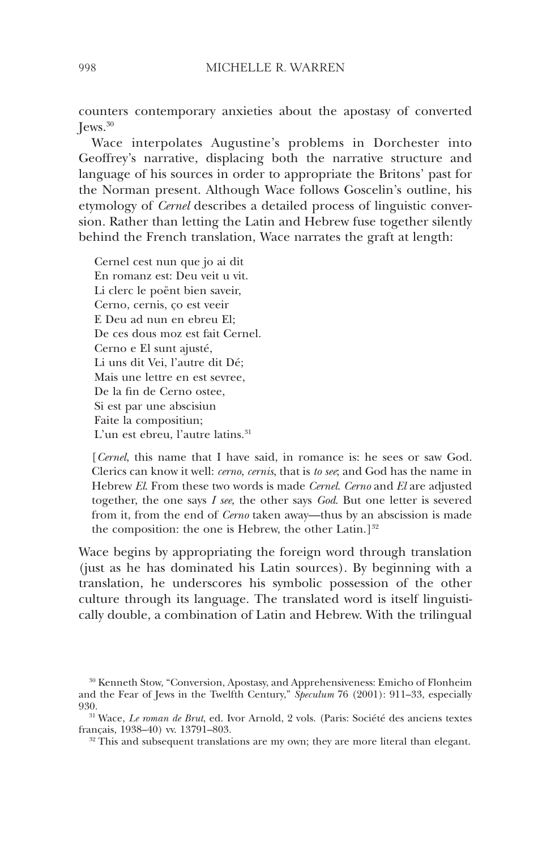counters contemporary anxieties about the apostasy of converted  $I$ ews. $30$ 

Wace interpolates Augustine's problems in Dorchester into Geoffrey's narrative, displacing both the narrative structure and language of his sources in order to appropriate the Britons' past for the Norman present. Although Wace follows Goscelin's outline, his etymology of *Cernel* describes a detailed process of linguistic conversion. Rather than letting the Latin and Hebrew fuse together silently behind the French translation, Wace narrates the graft at length:

Cernel cest nun que jo ai dit En romanz est: Deu veit u vit. Li clerc le poënt bien saveir, Cerno, cernis, ço est veeir E Deu ad nun en ebreu El; De ces dous moz est fait Cernel. Cerno e El sunt ajusté, Li uns dit Vei, l'autre dit Dé; Mais une lettre en est sevree, De la fin de Cerno ostee, Si est par une abscisiun Faite la compositiun; L'un est ebreu, l'autre latins.<sup>31</sup>

[*Cernel*, this name that I have said, in romance is: he sees or saw God. Clerics can know it well: *cerno*, *cernis*, that is *to see*; and God has the name in Hebrew *El*. From these two words is made *Cernel*. *Cerno* and *El* are adjusted together, the one says *I see*, the other says *God*. But one letter is severed from it, from the end of *Cerno* taken away—thus by an abscission is made the composition: the one is Hebrew, the other Latin.] $32$ 

Wace begins by appropriating the foreign word through translation (just as he has dominated his Latin sources). By beginning with a translation, he underscores his symbolic possession of the other culture through its language. The translated word is itself linguistically double, a combination of Latin and Hebrew. With the trilingual

<sup>30</sup> Kenneth Stow, "Conversion, Apostasy, and Apprehensiveness: Emicho of Flonheim and the Fear of Jews in the Twelfth Century," *Speculum* 76 (2001): 911–33, especially 930.

<sup>31</sup> Wace, *Le roman de Brut*, ed. Ivor Arnold, 2 vols. (Paris: Société des anciens textes français, 1938–40) vv. 13791–803.

 $32$  This and subsequent translations are my own; they are more literal than elegant.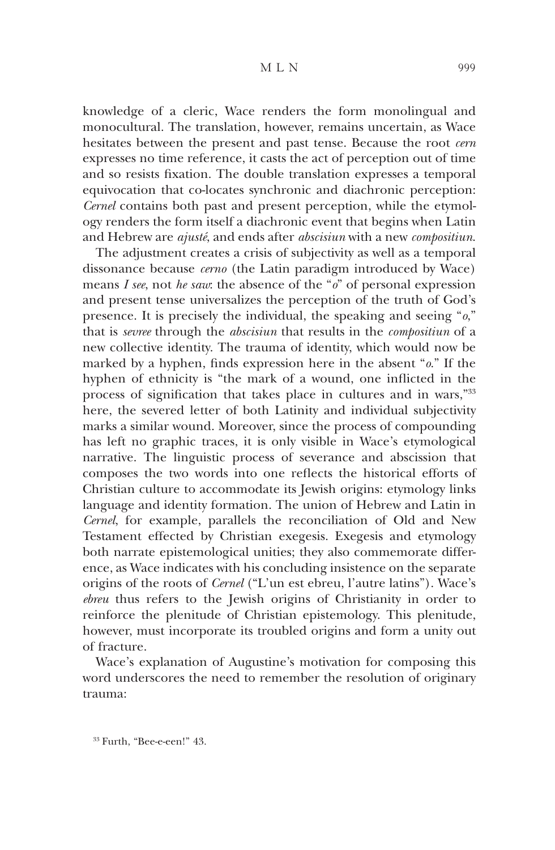#### MLN 999

knowledge of a cleric, Wace renders the form monolingual and monocultural. The translation, however, remains uncertain, as Wace hesitates between the present and past tense. Because the root *cern* expresses no time reference, it casts the act of perception out of time and so resists fixation. The double translation expresses a temporal equivocation that co-locates synchronic and diachronic perception: *Cernel* contains both past and present perception, while the etymology renders the form itself a diachronic event that begins when Latin and Hebrew are *ajusté*, and ends after *abscisiun* with a new *compositiun*.

The adjustment creates a crisis of subjectivity as well as a temporal dissonance because *cerno* (the Latin paradigm introduced by Wace) means *I see*, not *he saw*: the absence of the "*o*" of personal expression and present tense universalizes the perception of the truth of God's presence. It is precisely the individual, the speaking and seeing "*o*," that is *sevree* through the *abscisiun* that results in the *compositiun* of a new collective identity. The trauma of identity, which would now be marked by a hyphen, finds expression here in the absent "*o*." If the hyphen of ethnicity is "the mark of a wound, one inflicted in the process of signification that takes place in cultures and in wars," 33 here, the severed letter of both Latinity and individual subjectivity marks a similar wound. Moreover, since the process of compounding has left no graphic traces, it is only visible in Wace's etymological narrative. The linguistic process of severance and abscission that composes the two words into one reflects the historical efforts of Christian culture to accommodate its Jewish origins: etymology links language and identity formation. The union of Hebrew and Latin in *Cernel*, for example, parallels the reconciliation of Old and New Testament effected by Christian exegesis. Exegesis and etymology both narrate epistemological unities; they also commemorate difference, as Wace indicates with his concluding insistence on the separate origins of the roots of *Cernel* ("L'un est ebreu, l'autre latins"). Wace's *ebreu* thus refers to the Jewish origins of Christianity in order to reinforce the plenitude of Christian epistemology. This plenitude, however, must incorporate its troubled origins and form a unity out of fracture.

Wace's explanation of Augustine's motivation for composing this word underscores the need to remember the resolution of originary trauma:

<sup>33</sup> Furth, "Bee-e-een!" 43.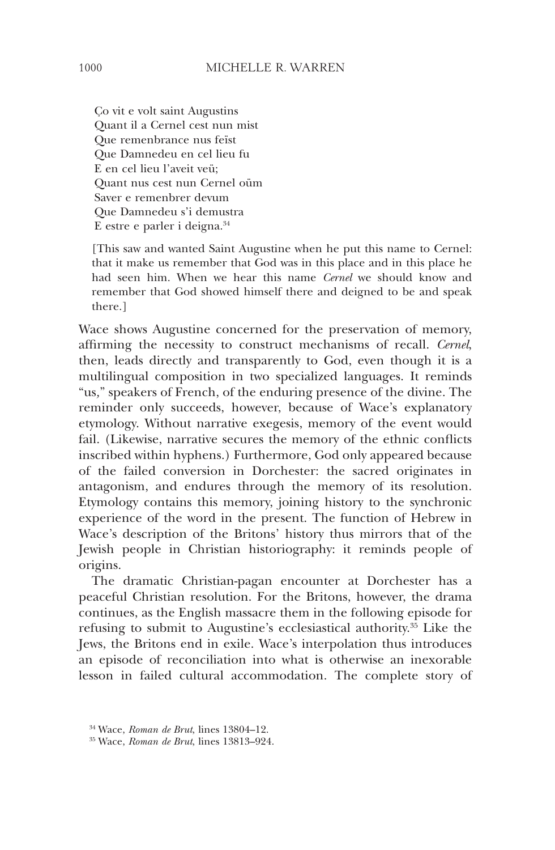Ço vit e volt saint Augustins Quant il a Cernel cest nun mist Que remenbrance nus feïst Que Damnedeu en cel lieu fu E en cel lieu l'aveit veü; Quant nus cest nun Cernel oüm Saver e remenbrer devum Que Damnedeu s'i demustra E estre e parler i deigna.<sup>34</sup>

[This saw and wanted Saint Augustine when he put this name to Cernel: that it make us remember that God was in this place and in this place he had seen him. When we hear this name *Cernel* we should know and remember that God showed himself there and deigned to be and speak there.]

Wace shows Augustine concerned for the preservation of memory, affirming the necessity to construct mechanisms of recall. *Cernel*, then, leads directly and transparently to God, even though it is a multilingual composition in two specialized languages. It reminds "us*,*" speakers of French, of the enduring presence of the divine. The reminder only succeeds, however, because of Wace's explanatory etymology. Without narrative exegesis, memory of the event would fail. (Likewise, narrative secures the memory of the ethnic conflicts inscribed within hyphens.) Furthermore, God only appeared because of the failed conversion in Dorchester: the sacred originates in antagonism, and endures through the memory of its resolution. Etymology contains this memory, joining history to the synchronic experience of the word in the present. The function of Hebrew in Wace's description of the Britons' history thus mirrors that of the Jewish people in Christian historiography: it reminds people of origins.

The dramatic Christian-pagan encounter at Dorchester has a peaceful Christian resolution. For the Britons, however, the drama continues, as the English massacre them in the following episode for refusing to submit to Augustine's ecclesiastical authority.<sup>35</sup> Like the Jews, the Britons end in exile. Wace's interpolation thus introduces an episode of reconciliation into what is otherwise an inexorable lesson in failed cultural accommodation. The complete story of

<sup>34</sup> Wace, *Roman de Brut*, lines 13804–12.

<sup>35</sup> Wace, *Roman de Brut*, lines 13813–924.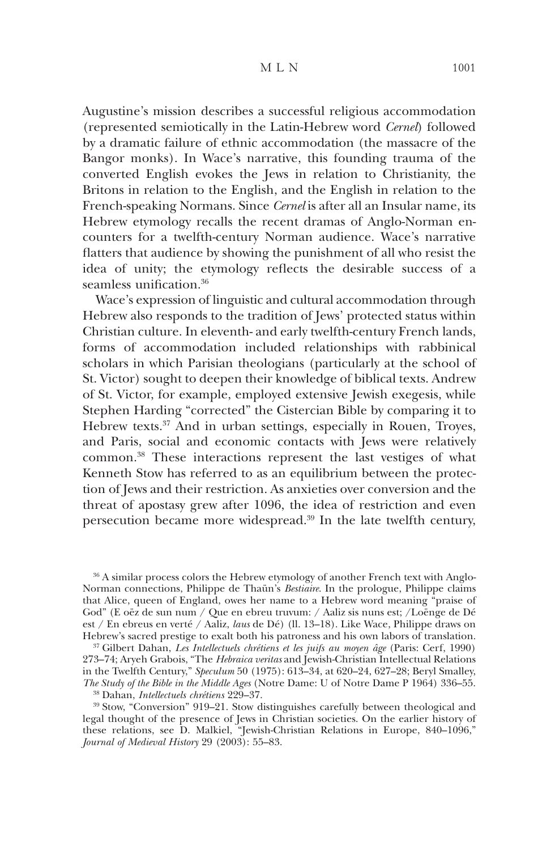Augustine's mission describes a successful religious accommodation (represented semiotically in the Latin-Hebrew word *Cernel*) followed by a dramatic failure of ethnic accommodation (the massacre of the Bangor monks). In Wace's narrative, this founding trauma of the converted English evokes the Jews in relation to Christianity, the Britons in relation to the English, and the English in relation to the French-speaking Normans. Since *Cernel* is after all an Insular name, its Hebrew etymology recalls the recent dramas of Anglo-Norman encounters for a twelfth-century Norman audience. Wace's narrative flatters that audience by showing the punishment of all who resist the idea of unity; the etymology reflects the desirable success of a seamless unification.<sup>36</sup>

Wace's expression of linguistic and cultural accommodation through Hebrew also responds to the tradition of Jews' protected status within Christian culture. In eleventh- and early twelfth-century French lands, forms of accommodation included relationships with rabbinical scholars in which Parisian theologians (particularly at the school of St. Victor) sought to deepen their knowledge of biblical texts. Andrew of St. Victor, for example, employed extensive Jewish exegesis, while Stephen Harding "corrected" the Cistercian Bible by comparing it to Hebrew texts.<sup>37</sup> And in urban settings, especially in Rouen, Troyes, and Paris, social and economic contacts with Jews were relatively common.<sup>38</sup> These interactions represent the last vestiges of what Kenneth Stow has referred to as an equilibrium between the protection of Jews and their restriction. As anxieties over conversion and the threat of apostasy grew after 1096, the idea of restriction and even persecution became more widespread.<sup>39</sup> In the late twelfth century,

<sup>36</sup> A similar process colors the Hebrew etymology of another French text with Anglo-Norman connections, Philippe de Thaün's *Bestiaire*. In the prologue, Philippe claims that Alice, queen of England, owes her name to a Hebrew word meaning "praise of God" (E oëz de sun num / Que en ebreu truvum: / Aaliz sis nuns est; /Loënge de Dé est / En ebreus en verté / Aaliz, *laus* de Dé) (ll. 13–18). Like Wace, Philippe draws on Hebrew's sacred prestige to exalt both his patroness and his own labors of translation.

<sup>37</sup> Gilbert Dahan, *Les Intellectuels chrétiens et les juifs au moyen âge* (Paris: Cerf, 1990) 273–74; Aryeh Grabois, "The *Hebraica veritas* and Jewish-Christian Intellectual Relations in the Twelfth Century," *Speculum* 50 (1975): 613–34, at 620–24, 627–28; Beryl Smalley, *The Study of the Bible in the Middle Ages* (Notre Dame: U of Notre Dame P 1964) 336–55.

<sup>38</sup> Dahan, *Intellectuels chrétiens* 229–37.

<sup>39</sup> Stow, "Conversion" 919–21. Stow distinguishes carefully between theological and legal thought of the presence of Jews in Christian societies. On the earlier history of these relations, see D. Malkiel, "Jewish-Christian Relations in Europe, 840–1096," *Journal of Medieval History* 29 (2003): 55–83.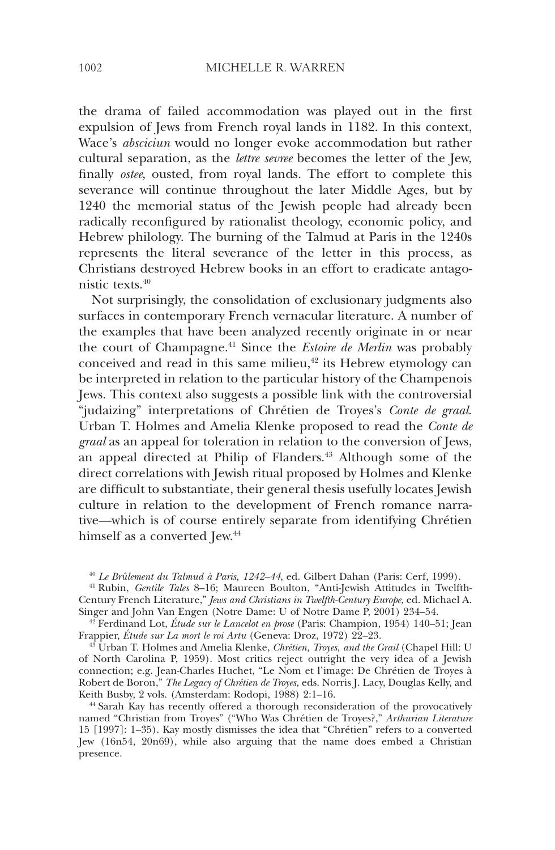the drama of failed accommodation was played out in the first expulsion of Jews from French royal lands in 1182. In this context, Wace's *absciciun* would no longer evoke accommodation but rather cultural separation, as the *lettre sevree* becomes the letter of the Jew, finally *ostee*, ousted, from royal lands. The effort to complete this severance will continue throughout the later Middle Ages, but by 1240 the memorial status of the Jewish people had already been radically reconfigured by rationalist theology, economic policy, and Hebrew philology. The burning of the Talmud at Paris in the 1240s represents the literal severance of the letter in this process, as Christians destroyed Hebrew books in an effort to eradicate antagonistic texts.<sup>40</sup>

Not surprisingly, the consolidation of exclusionary judgments also surfaces in contemporary French vernacular literature. A number of the examples that have been analyzed recently originate in or near the court of Champagne.<sup>41</sup> Since the *Estoire de Merlin* was probably conceived and read in this same milieu, $42$  its Hebrew etymology can be interpreted in relation to the particular history of the Champenois Jews. This context also suggests a possible link with the controversial "judaizing" interpretations of Chrétien de Troyes's *Conte de graal*. Urban T. Holmes and Amelia Klenke proposed to read the *Conte de graal* as an appeal for toleration in relation to the conversion of Jews, an appeal directed at Philip of Flanders.<sup>43</sup> Although some of the direct correlations with Jewish ritual proposed by Holmes and Klenke are difficult to substantiate, their general thesis usefully locates Jewish culture in relation to the development of French romance narrative—which is of course entirely separate from identifying Chrétien himself as a converted Jew.<sup>44</sup>

<sup>40</sup> *Le Brûlement du Talmud à Paris, 1242–44*, ed. Gilbert Dahan (Paris: Cerf, 1999).

<sup>41</sup> Rubin, *Gentile Tales* 8–16; Maureen Boulton, "Anti-Jewish Attitudes in Twelfth-Century French Literature," *Jews and Christians in Twelfth-Century Europe*, ed. Michael A. Singer and John Van Engen (Notre Dame: U of Notre Dame P, 2001) 234–54.

<sup>42</sup> Ferdinand Lot, *Étude sur le Lancelot en prose* (Paris: Champion, 1954) 140–51; Jean Frappier, *Étude sur La mort le roi Artu* (Geneva: Droz, 1972) 22–23.

<sup>43</sup> Urban T. Holmes and Amelia Klenke, *Chrétien, Troyes, and the Grail* (Chapel Hill: U of North Carolina P, 1959). Most critics reject outright the very idea of a Jewish connection; e.g. Jean-Charles Huchet, "Le Nom et l'image: De Chrétien de Troyes à Robert de Boron," *The Legacy of Chrétien de Troyes*, eds. Norris J. Lacy, Douglas Kelly, and Keith Busby, 2 vols. (Amsterdam: Rodopi, 1988) 2:1–16.

<sup>44</sup> Sarah Kay has recently offered a thorough reconsideration of the provocatively named "Christian from Troyes" ("Who Was Chrétien de Troyes?," *Arthurian Literature* 15 [1997]: 1–35). Kay mostly dismisses the idea that "Chrétien" refers to a converted Jew (16n54, 20n69), while also arguing that the name does embed a Christian presence.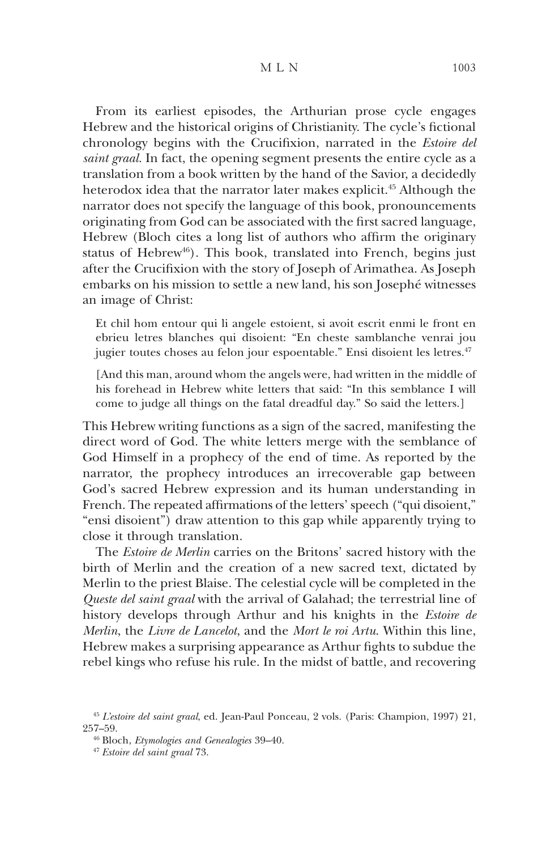From its earliest episodes, the Arthurian prose cycle engages Hebrew and the historical origins of Christianity. The cycle's fictional chronology begins with the Crucifixion, narrated in the *Estoire del saint graal.* In fact, the opening segment presents the entire cycle as a translation from a book written by the hand of the Savior, a decidedly heterodox idea that the narrator later makes explicit.<sup>45</sup> Although the narrator does not specify the language of this book, pronouncements originating from God can be associated with the first sacred language, Hebrew (Bloch cites a long list of authors who affirm the originary status of Hebrew<sup>46</sup>). This book, translated into French, begins just after the Crucifixion with the story of Joseph of Arimathea. As Joseph embarks on his mission to settle a new land, his son Josephé witnesses an image of Christ:

Et chil hom entour qui li angele estoient, si avoit escrit enmi le front en ebrieu letres blanches qui disoient: "En cheste samblanche venrai jou jugier toutes choses au felon jour espoentable." Ensi disoient les letres.<sup>47</sup>

[And this man, around whom the angels were, had written in the middle of his forehead in Hebrew white letters that said: "In this semblance I will come to judge all things on the fatal dreadful day." So said the letters.]

This Hebrew writing functions as a sign of the sacred, manifesting the direct word of God. The white letters merge with the semblance of God Himself in a prophecy of the end of time. As reported by the narrator, the prophecy introduces an irrecoverable gap between God's sacred Hebrew expression and its human understanding in French. The repeated affirmations of the letters' speech ("qui disoient," "ensi disoient") draw attention to this gap while apparently trying to close it through translation.

The *Estoire de Merlin* carries on the Britons' sacred history with the birth of Merlin and the creation of a new sacred text, dictated by Merlin to the priest Blaise. The celestial cycle will be completed in the *Queste del saint graal* with the arrival of Galahad; the terrestrial line of history develops through Arthur and his knights in the *Estoire de Merlin*, the *Livre de Lancelot*, and the *Mort le roi Artu*. Within this line, Hebrew makes a surprising appearance as Arthur fights to subdue the rebel kings who refuse his rule. In the midst of battle, and recovering

<sup>45</sup> *L'estoire del saint graal*, ed. Jean-Paul Ponceau, 2 vols. (Paris: Champion, 1997) 21, 257–59.

<sup>46</sup> Bloch, *Etymologies and Genealogies* 39–40.

<sup>47</sup> *Estoire del saint graal* 73.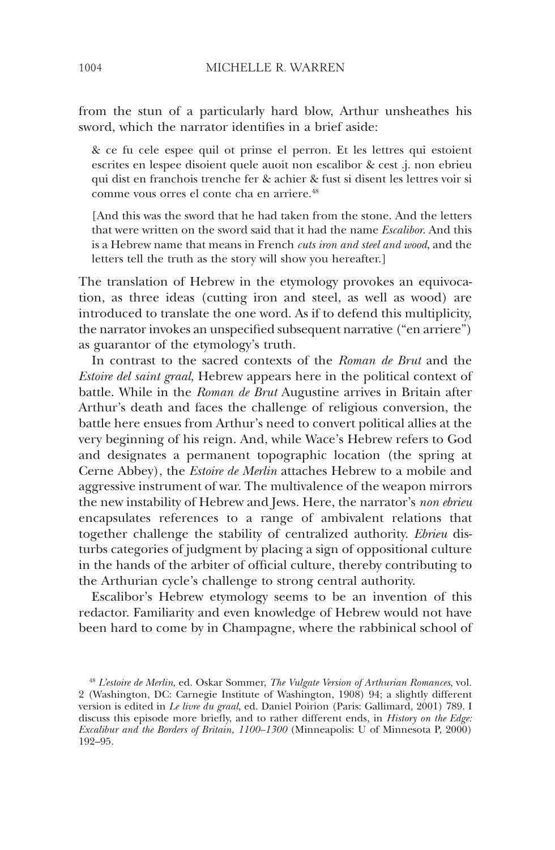from the stun of a particularly hard blow, Arthur unsheathes his sword, which the narrator identifies in a brief aside:

& ce fu cele espee quil ot prinse el perron. Et les lettres qui estoient escrites en lespee disoient quele auoit non escalibor & cest .j. non ebrieu qui dist en franchois trenche fer & achier & fust si disent les lettres voir si comme vous orres el conte cha en arriere.<sup>48</sup>

[And this was the sword that he had taken from the stone. And the letters that were written on the sword said that it had the name *Escalibor*. And this is a Hebrew name that means in French *cuts iron and steel and wood*, and the letters tell the truth as the story will show you hereafter.]

The translation of Hebrew in the etymology provokes an equivocation, as three ideas (cutting iron and steel, as well as wood) are introduced to translate the one word. As if to defend this multiplicity, the narrator invokes an unspecified subsequent narrative ("en arriere") as guarantor of the etymology's truth.

In contrast to the sacred contexts of the *Roman de Brut* and the *Estoire del saint graal*, Hebrew appears here in the political context of battle. While in the *Roman de Brut* Augustine arrives in Britain after Arthur's death and faces the challenge of religious conversion, the battle here ensues from Arthur's need to convert political allies at the very beginning of his reign. And, while Wace's Hebrew refers to God and designates a permanent topographic location (the spring at Cerne Abbey), the *Estoire de Merlin* attaches Hebrew to a mobile and aggressive instrument of war. The multivalence of the weapon mirrors the new instability of Hebrew and Jews. Here, the narrator's *non ebrieu* encapsulates references to a range of ambivalent relations that together challenge the stability of centralized authority. *Ebrieu* disturbs categories of judgment by placing a sign of oppositional culture in the hands of the arbiter of official culture, thereby contributing to the Arthurian cycle's challenge to strong central authority.

Escalibor's Hebrew etymology seems to be an invention of this redactor. Familiarity and even knowledge of Hebrew would not have been hard to come by in Champagne, where the rabbinical school of

<sup>48</sup> *L'estoire de Merlin*, ed. Oskar Sommer, *The Vulgate Version of Arthurian Romances*, vol. 2 (Washington, DC: Carnegie Institute of Washington, 1908) 94; a slightly different version is edited in *Le livre du graal*, ed. Daniel Poirion (Paris: Gallimard, 2001) 789. I discuss this episode more briefly, and to rather different ends, in *History on the Edge: Excalibur and the Borders of Britain, 1100–1300* (Minneapolis: U of Minnesota P, 2000) 192–95.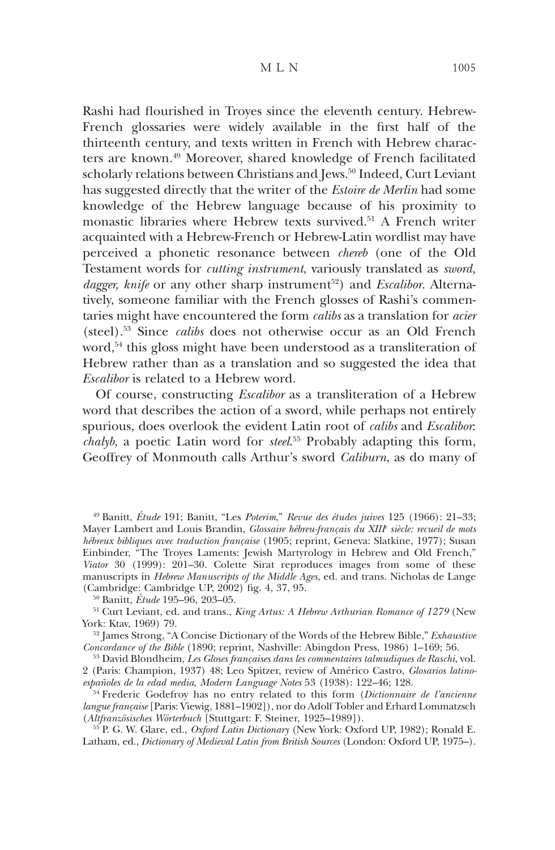#### M L N 1005

Rashi had flourished in Troyes since the eleventh century. Hebrew-French glossaries were widely available in the first half of the thirteenth century, and texts written in French with Hebrew characters are known.<sup>49</sup> Moreover, shared knowledge of French facilitated scholarly relations between Christians and Jews.<sup>50</sup> Indeed, Curt Leviant has suggested directly that the writer of the *Estoire de Merlin* had some knowledge of the Hebrew language because of his proximity to monastic libraries where Hebrew texts survived.<sup>51</sup> A French writer acquainted with a Hebrew-French or Hebrew-Latin wordlist may have perceived a phonetic resonance between *chereb* (one of the Old Testament words for *cutting instrument*, variously translated as *sword, dagger, knife* or any other sharp instrument<sup>52</sup>) and *Escalibor*. Alternatively, someone familiar with the French glosses of Rashi's commentaries might have encountered the form *calibs* as a translation for *acier* (steel).<sup>53</sup> Since *calibs* does not otherwise occur as an Old French word,<sup>54</sup> this gloss might have been understood as a transliteration of Hebrew rather than as a translation and so suggested the idea that *Escalibor* is related to a Hebrew word.

Of course, constructing *Escalibor* as a transliteration of a Hebrew word that describes the action of a sword, while perhaps not entirely spurious, does overlook the evident Latin root of *calibs* and *Escalibor*: *chalyb*, a poetic Latin word for *steel*. <sup>55</sup> Probably adapting this form, Geoffrey of Monmouth calls Arthur's sword *Caliburn*, as do many of

<sup>55</sup> P. G. W. Glare, ed., *Oxford Latin Dictionary* (New York: Oxford UP, 1982); Ronald E. Latham, ed., *Dictionary of Medieval Latin from British Sources* (London: Oxford UP, 1975–).

<sup>49</sup> Banitt, *Étude* 191; Banitt, "Les *Poterim*," *Revue des études juives* 125 (1966): 21–33; Mayer Lambert and Louis Brandin, *Glossaire hébreu-français du XIII<sup>e</sup> siècle: recueil de mots hébreux bibliques avec traduction française* (1905; reprint, Geneva: Slatkine, 1977); Susan Einbinder, "The Troyes Laments: Jewish Martyrology in Hebrew and Old French," *Viator* 30 (1999): 201-30. Colette Sirat reproduces images from some of these manuscripts in *Hebrew Manuscripts of the Middle Ages*, ed. and trans. Nicholas de Lange  $(Cambridge: Cambridge UP, 2002)$  fig. 4, 37, 95.

<sup>50</sup> Banitt, *Étude* 195–96, 203–05.

<sup>51</sup> Curt Leviant, ed. and trans., *King Artus: A Hebrew Arthurian Romance of 1279* (New York: Ktav, 1969) 79.

<sup>52</sup> James Strong, "A Concise Dictionary of the Words of the Hebrew Bible," *Exhaustive Concordance of the Bible* (1890; reprint, Nashville: Abingdon Press, 1986) 1–169; 56.

<sup>53</sup> David Blondheim, *Les Gloses françaises dans les commentaires talmudiques de Raschi*, vol. 2 (Paris: Champion, 1937) 48; Leo Spitzer, review of Américo Castro, *Glosarios latinoespañoles de la edad media*, *Modern Language Notes* 53 (1938): 122–46; 128.

<sup>54</sup> Frederic Godefroy has no entry related to this form (*Dictionnaire de l'ancienne langue française* [Paris: Viewig, 1881–1902]), nor do Adolf Tobler and Erhard Lommatzsch (*Altfranzösisches Wörterbuch* [Stuttgart: F. Steiner, 1925–1989]).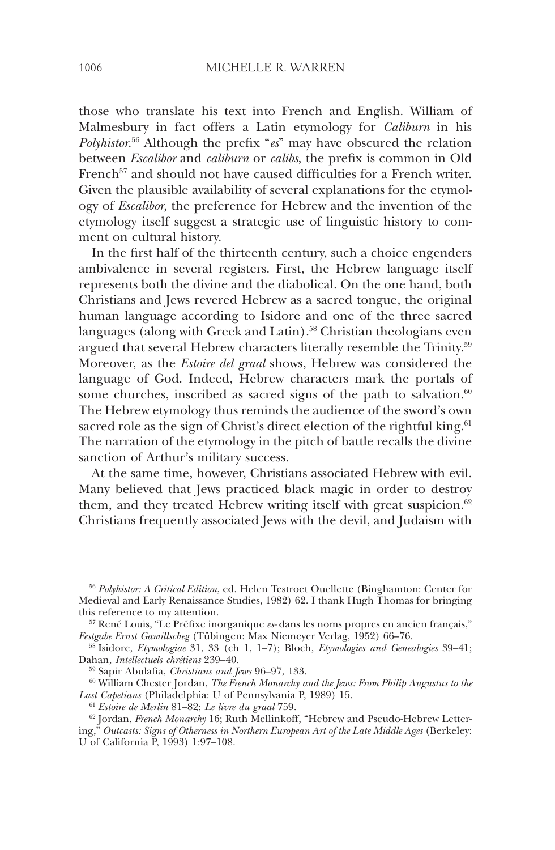those who translate his text into French and English. William of Malmesbury in fact offers a Latin etymology for *Caliburn* in his *Polyhistor*. <sup>56</sup> Although the prefix "*es*" may have obscured the relation between *Escalibor* and *caliburn* or *calibs*, the prefix is common in Old French<sup>57</sup> and should not have caused difficulties for a French writer. Given the plausible availability of several explanations for the etymology of *Escalibor*, the preference for Hebrew and the invention of the etymology itself suggest a strategic use of linguistic history to comment on cultural history.

In the first half of the thirteenth century, such a choice engenders ambivalence in several registers. First, the Hebrew language itself represents both the divine and the diabolical. On the one hand, both Christians and Jews revered Hebrew as a sacred tongue, the original human language according to Isidore and one of the three sacred languages (along with Greek and Latin).<sup>58</sup> Christian theologians even argued that several Hebrew characters literally resemble the Trinity.<sup>59</sup> Moreover, as the *Estoire del graal* shows, Hebrew was considered the language of God. Indeed, Hebrew characters mark the portals of some churches, inscribed as sacred signs of the path to salvation. $60$ The Hebrew etymology thus reminds the audience of the sword's own sacred role as the sign of Christ's direct election of the rightful king.<sup>61</sup> The narration of the etymology in the pitch of battle recalls the divine sanction of Arthur's military success.

At the same time, however, Christians associated Hebrew with evil. Many believed that Jews practiced black magic in order to destroy them, and they treated Hebrew writing itself with great suspicion. $62$ Christians frequently associated Jews with the devil, and Judaism with

<sup>59</sup> Sapir Abulafia, *Christians and Jews* 96–97, 133.

<sup>60</sup> William Chester Jordan, *The French Monarchy and the Jews: From Philip Augustus to the Last Capetians* (Philadelphia: U of Pennsylvania P, 1989) 15.

<sup>61</sup> *Estoire de Merlin* 81–82; *Le livre du graal* 759.

<sup>62</sup> Jordan, *French Monarchy* 16; Ruth Mellinkoff, "Hebrew and Pseudo-Hebrew Lettering," *Outcasts: Signs of Otherness in Northern European Art of the Late Middle Ages* (Berkeley: U of California P, 1993) 1:97–108.

<sup>56</sup> *Polyhistor: A Critical Edition*, ed. Helen Testroet Ouellette (Binghamton: Center for Medieval and Early Renaissance Studies, 1982) 62. I thank Hugh Thomas for bringing this reference to my attention.

<sup>57</sup> René Louis, "Le Préfixe inorganique *es-* dans les noms propres en ancien français," *Festgabe Ernst Gamillscheg* (Tübingen: Max Niemeyer Verlag, 1952) 66–76.

<sup>58</sup> Isidore, *Etymologiae* 31, 33 (ch 1, 1–7); Bloch, *Etymologies and Genealogies* 39–41; Dahan, *Intellectuels chrétiens* 239–40.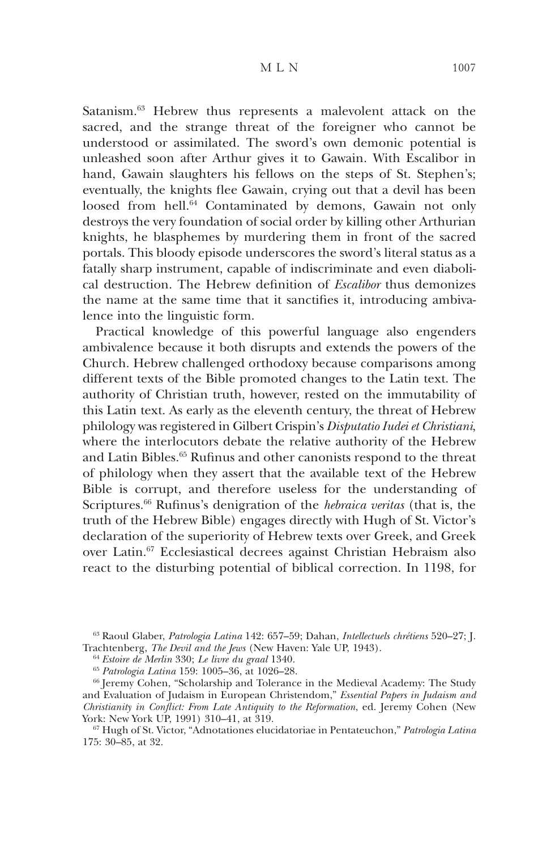Satanism.<sup>63</sup> Hebrew thus represents a malevolent attack on the sacred, and the strange threat of the foreigner who cannot be understood or assimilated. The sword's own demonic potential is unleashed soon after Arthur gives it to Gawain. With Escalibor in hand, Gawain slaughters his fellows on the steps of St. Stephen's; eventually, the knights flee Gawain, crying out that a devil has been loosed from hell.<sup>64</sup> Contaminated by demons, Gawain not only destroys the very foundation of social order by killing other Arthurian knights, he blasphemes by murdering them in front of the sacred portals. This bloody episode underscores the sword's literal status as a fatally sharp instrument, capable of indiscriminate and even diabolical destruction. The Hebrew definition of *Escalibor* thus demonizes the name at the same time that it sanctifies it, introducing ambivalence into the linguistic form.

Practical knowledge of this powerful language also engenders ambivalence because it both disrupts and extends the powers of the Church. Hebrew challenged orthodoxy because comparisons among different texts of the Bible promoted changes to the Latin text. The authority of Christian truth, however, rested on the immutability of this Latin text. As early as the eleventh century, the threat of Hebrew philology was registered in Gilbert Crispin's *Disputatio Iudei et Christiani*, where the interlocutors debate the relative authority of the Hebrew and Latin Bibles.<sup>65</sup> Rufinus and other canonists respond to the threat of philology when they assert that the available text of the Hebrew Bible is corrupt, and therefore useless for the understanding of Scriptures.<sup>66</sup> Rufinus's denigration of the *hebraica veritas* (that is, the truth of the Hebrew Bible) engages directly with Hugh of St. Victor's declaration of the superiority of Hebrew texts over Greek, and Greek over Latin.<sup>67</sup> Ecclesiastical decrees against Christian Hebraism also react to the disturbing potential of biblical correction. In 1198, for

<sup>63</sup> Raoul Glaber, *Patrologia Latina* 142: 657–59; Dahan, *Intellectuels chrétiens* 520–27; J. Trachtenberg, *The Devil and the Jews* (New Haven: Yale UP, 1943).

<sup>64</sup> *Estoire de Merlin* 330; *Le livre du graal* 1340.

<sup>65</sup> *Patrologia Latina* 159: 1005–36, at 1026–28.

<sup>66</sup> Jeremy Cohen, "Scholarship and Tolerance in the Medieval Academy: The Study and Evaluation of Judaism in European Christendom," *Essential Papers in Judaism and Christianity in Conflict: From Late Antiquity to the Reformation*, ed. Jeremy Cohen (New York: New York UP, 1991) 310–41, at 319.

<sup>67</sup> Hugh of St. Victor, "Adnotationes elucidatoriae in Pentateuchon," *Patrologia Latina* 175: 30–85, at 32.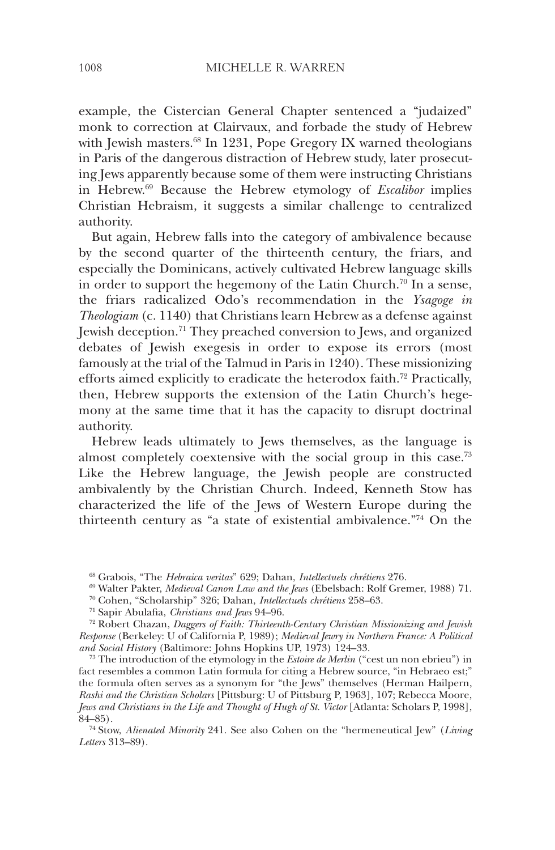example, the Cistercian General Chapter sentenced a "judaized" monk to correction at Clairvaux, and forbade the study of Hebrew with Jewish masters.<sup>68</sup> In 1231, Pope Gregory IX warned theologians in Paris of the dangerous distraction of Hebrew study, later prosecuting Jews apparently because some of them were instructing Christians in Hebrew.<sup>69</sup> Because the Hebrew etymology of *Escalibor* implies Christian Hebraism, it suggests a similar challenge to centralized authority.

But again, Hebrew falls into the category of ambivalence because by the second quarter of the thirteenth century, the friars, and especially the Dominicans, actively cultivated Hebrew language skills in order to support the hegemony of the Latin Church.<sup>70</sup> In a sense, the friars radicalized Odo's recommendation in the *Ysagoge in Theologiam* (c. 1140) that Christians learn Hebrew as a defense against Jewish deception.<sup>71</sup> They preached conversion to Jews, and organized debates of Jewish exegesis in order to expose its errors (most famously at the trial of the Talmud in Paris in 1240). These missionizing efforts aimed explicitly to eradicate the heterodox faith.<sup>72</sup> Practically, then, Hebrew supports the extension of the Latin Church's hegemony at the same time that it has the capacity to disrupt doctrinal authority.

Hebrew leads ultimately to Jews themselves, as the language is almost completely coextensive with the social group in this case.<sup>73</sup> Like the Hebrew language, the Jewish people are constructed ambivalently by the Christian Church. Indeed, Kenneth Stow has characterized the life of the Jews of Western Europe during the thirteenth century as "a state of existential ambivalence." <sup>74</sup> On the

- <sup>69</sup> Walter Pakter, *Medieval Canon Law and the Jews* (Ebelsbach: Rolf Gremer, 1988) 71.
- <sup>70</sup> Cohen, "Scholarship" 326; Dahan, *Intellectuels chrétiens* 258–63.
- <sup>71</sup> Sapir Abulafia, *Christians and Jews* 94–96.

<sup>73</sup> The introduction of the etymology in the *Estoire de Merlin* ("cest un non ebrieu") in fact resembles a common Latin formula for citing a Hebrew source, "in Hebraeo est;" the formula often serves as a synonym for "the Jews" themselves (Herman Hailpern, *Rashi and the Christian Scholars* [Pittsburg: U of Pittsburg P, 1963], 107; Rebecca Moore, *Jews and Christians in the Life and Thought of Hugh of St. Victor* [Atlanta: Scholars P, 1998], 84–85).

<sup>74</sup> Stow, *Alienated Minority* 241. See also Cohen on the "hermeneutical Jew" (*Living Letters* 313–89).

<sup>68</sup> Grabois, "The *Hebraica veritas*" 629; Dahan, *Intellectuels chrétiens* 276.

<sup>72</sup> Robert Chazan, *Daggers of Faith: Thirteenth-Century Christian Missionizing and Jewish Response* (Berkeley: U of California P, 1989); *Medieval Jewry in Northern France: A Political and Social History* (Baltimore: Johns Hopkins UP, 1973) 124–33.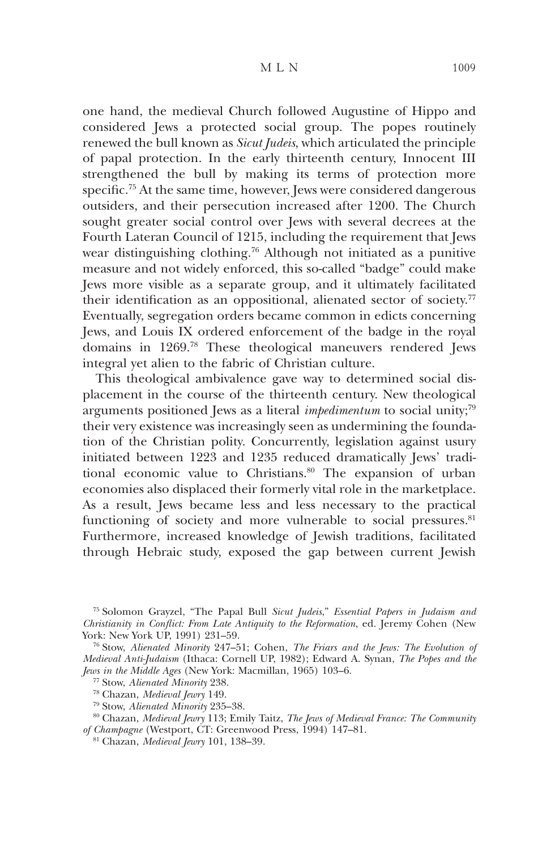one hand, the medieval Church followed Augustine of Hippo and considered Jews a protected social group. The popes routinely renewed the bull known as *Sicut Judeis*, which articulated the principle of papal protection. In the early thirteenth century, Innocent III strengthened the bull by making its terms of protection more specific.<sup>75</sup> At the same time, however, Jews were considered dangerous outsiders, and their persecution increased after 1200. The Church sought greater social control over Jews with several decrees at the Fourth Lateran Council of 1215, including the requirement that Jews wear distinguishing clothing.<sup>76</sup> Although not initiated as a punitive measure and not widely enforced, this so-called "badge" could make Jews more visible as a separate group, and it ultimately facilitated their identification as an oppositional, alienated sector of society.<sup>77</sup> Eventually, segregation orders became common in edicts concerning Jews, and Louis IX ordered enforcement of the badge in the royal domains in 1269.<sup>78</sup> These theological maneuvers rendered Jews integral yet alien to the fabric of Christian culture.

This theological ambivalence gave way to determined social displacement in the course of the thirteenth century. New theological arguments positioned Jews as a literal *impedimentum* to social unity;<sup>79</sup> their very existence was increasingly seen as undermining the foundation of the Christian polity. Concurrently, legislation against usury initiated between 1223 and 1235 reduced dramatically Jews' traditional economic value to Christians.<sup>80</sup> The expansion of urban economies also displaced their formerly vital role in the marketplace. As a result, Jews became less and less necessary to the practical functioning of society and more vulnerable to social pressures. $81$ Furthermore, increased knowledge of Jewish traditions, facilitated through Hebraic study, exposed the gap between current Jewish

<sup>75</sup> Solomon Grayzel, "The Papal Bull *Sicut Judeis*," *Essential Papers in Judaism and Christianity in Conflict: From Late Antiquity to the Reformation*, ed. Jeremy Cohen (New York: New York UP, 1991) 231–59.

<sup>76</sup> Stow, *Alienated Minority* 247–51; Cohen, *The Friars and the Jews: The Evolution of Medieval Anti-Judaism* (Ithaca: Cornell UP, 1982); Edward A. Synan, *The Popes and the Jews in the Middle Ages* (New York: Macmillan, 1965) 103–6.

<sup>77</sup> Stow, *Alienated Minority* 238.

<sup>78</sup> Chazan, *Medieval Jewry* 149.

<sup>79</sup> Stow, *Alienated Minority* 235–38.

<sup>80</sup> Chazan, *Medieval Jewry* 113; Emily Taitz, *The Jews of Medieval France: The Community of Champagne* (Westport, CT: Greenwood Press, 1994) 147–81.

<sup>81</sup> Chazan, *Medieval Jewry* 101, 138–39.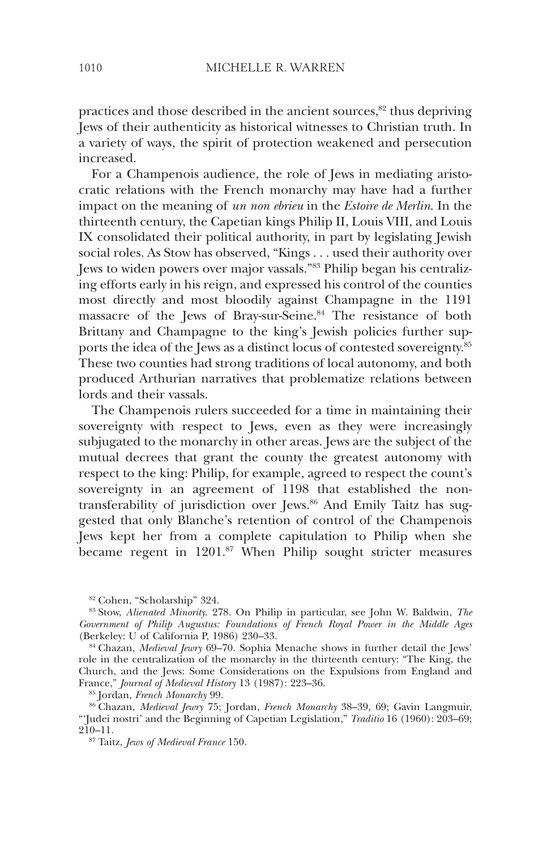practices and those described in the ancient sources, $82$  thus depriving Jews of their authenticity as historical witnesses to Christian truth. In a variety of ways, the spirit of protection weakened and persecution increased.

For a Champenois audience, the role of Jews in mediating aristocratic relations with the French monarchy may have had a further impact on the meaning of *un non ebrieu* in the *Estoire de Merlin*. In the thirteenth century, the Capetian kings Philip II, Louis VIII, and Louis IX consolidated their political authority, in part by legislating Jewish social roles. As Stow has observed, "Kings . . . used their authority over Jews to widen powers over major vassals." 83 Philip began his centralizing efforts early in his reign, and expressed his control of the counties most directly and most bloodily against Champagne in the 1191 massacre of the Jews of Bray-sur-Seine.<sup>84</sup> The resistance of both Brittany and Champagne to the king's Jewish policies further supports the idea of the Jews as a distinct locus of contested sovereignty.<sup>85</sup> These two counties had strong traditions of local autonomy, and both produced Arthurian narratives that problematize relations between lords and their vassals.

The Champenois rulers succeeded for a time in maintaining their sovereignty with respect to Jews, even as they were increasingly subjugated to the monarchy in other areas. Jews are the subject of the mutual decrees that grant the county the greatest autonomy with respect to the king: Philip, for example, agreed to respect the count's sovereignty in an agreement of 1198 that established the nontransferability of jurisdiction over Jews.<sup>86</sup> And Emily Taitz has suggested that only Blanche's retention of control of the Champenois Jews kept her from a complete capitulation to Philip when she became regent in 1201.<sup>87</sup> When Philip sought stricter measures

<sup>82</sup> Cohen, "Scholarship" 324.

<sup>83</sup> Stow, *Alienated Minority*. 278. On Philip in particular, see John W. Baldwin, *The Government of Philip Augustus: Foundations of French Royal Power in the Middle Ages* (Berkeley: U of California P, 1986) 230–33.

<sup>84</sup> Chazan, *Medieval Jewry* 69–70. Sophia Menache shows in further detail the Jews' role in the centralization of the monarchy in the thirteenth century: "The King, the Church, and the Jews: Some Considerations on the Expulsions from England and France," *Journal of Medieval History* 13 (1987): 223–36.

<sup>85</sup> Jordan, *French Monarchy* 99.

<sup>86</sup> Chazan, *Medieval Jewry* 75; Jordan, *French Monarchy* 38–39, 69; Gavin Langmuir, "'Judei nostri' and the Beginning of Capetian Legislation," *Traditio* 16 (1960): 203–69; 210–11.

<sup>87</sup> Taitz, *Jews of Medieval France* 150.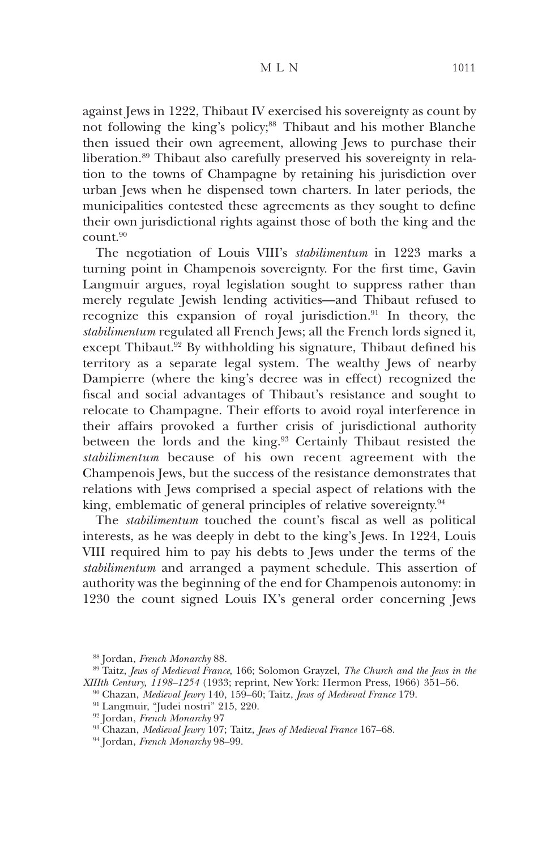#### M L N 1011

against Jews in 1222, Thibaut IV exercised his sovereignty as count by not following the king's policy;<sup>88</sup> Thibaut and his mother Blanche then issued their own agreement, allowing Jews to purchase their liberation.89 Thibaut also carefully preserved his sovereignty in relation to the towns of Champagne by retaining his jurisdiction over urban Jews when he dispensed town charters. In later periods, the municipalities contested these agreements as they sought to define their own jurisdictional rights against those of both the king and the count.<sup>90</sup>

The negotiation of Louis VIII's *stabilimentum* in 1223 marks a turning point in Champenois sovereignty. For the first time, Gavin Langmuir argues, royal legislation sought to suppress rather than merely regulate Jewish lending activities—and Thibaut refused to recognize this expansion of royal jurisdiction. $91$  In theory, the *stabilimentum* regulated all French Jews; all the French lords signed it, except Thibaut.<sup>92</sup> By withholding his signature, Thibaut defined his territory as a separate legal system. The wealthy Jews of nearby Dampierre (where the king's decree was in effect) recognized the fiscal and social advantages of Thibaut's resistance and sought to relocate to Champagne. Their efforts to avoid royal interference in their affairs provoked a further crisis of jurisdictional authority between the lords and the king.<sup>93</sup> Certainly Thibaut resisted the *stabilimentum* because of his own recent agreement with the Champenois Jews, but the success of the resistance demonstrates that relations with Jews comprised a special aspect of relations with the king, emblematic of general principles of relative sovereignty.<sup>94</sup>

The *stabilimentum* touched the count's fiscal as well as political interests, as he was deeply in debt to the king's Jews. In 1224, Louis VIII required him to pay his debts to Jews under the terms of the *stabilimentum* and arranged a payment schedule. This assertion of authority was the beginning of the end for Champenois autonomy: in 1230 the count signed Louis IX's general order concerning Jews

<sup>88</sup> Jordan, *French Monarchy* 88.

<sup>89</sup> Taitz, *Jews of Medieval France*, 166; Solomon Grayzel, *The Church and the Jews in the XIIIth Century, 1198–1254* (1933; reprint, New York: Hermon Press, 1966) 351–56.

<sup>90</sup> Chazan, *Medieval Jewry* 140, 159–60; Taitz, *Jews of Medieval France* 179.

<sup>&</sup>lt;sup>91</sup> Langmuir, "Judei nostri" 215, 220.

<sup>92</sup> Jordan, *French Monarchy* 97

<sup>93</sup> Chazan, *Medieval Jewry* 107; Taitz, *Jews of Medieval France* 167–68.

<sup>94</sup> Jordan, *French Monarchy* 98–99.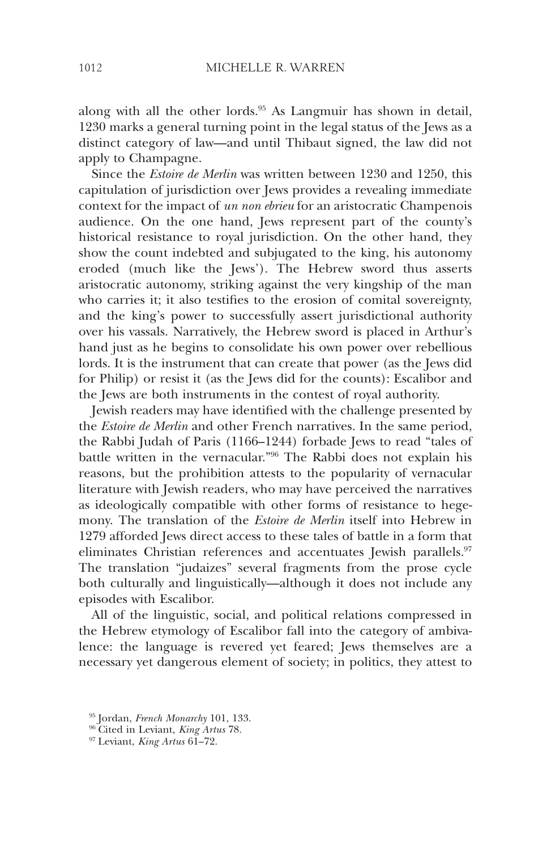along with all the other lords. $95$  As Langmuir has shown in detail, 1230 marks a general turning point in the legal status of the Jews as a distinct category of law—and until Thibaut signed, the law did not apply to Champagne.

Since the *Estoire de Merlin* was written between 1230 and 1250, this capitulation of jurisdiction over Jews provides a revealing immediate context for the impact of *un non ebrieu* for an aristocratic Champenois audience. On the one hand, Jews represent part of the county's historical resistance to royal jurisdiction. On the other hand, they show the count indebted and subjugated to the king, his autonomy eroded (much like the Jews'). The Hebrew sword thus asserts aristocratic autonomy, striking against the very kingship of the man who carries it; it also testifies to the erosion of comital sovereignty, and the king's power to successfully assert jurisdictional authority over his vassals. Narratively, the Hebrew sword is placed in Arthur's hand just as he begins to consolidate his own power over rebellious lords. It is the instrument that can create that power (as the Jews did for Philip) or resist it (as the Jews did for the counts): Escalibor and the Jews are both instruments in the contest of royal authority.

Jewish readers may have identified with the challenge presented by the *Estoire de Merlin* and other French narratives. In the same period, the Rabbi Judah of Paris (1166–1244) forbade Jews to read "tales of battle written in the vernacular." <sup>96</sup> The Rabbi does not explain his reasons, but the prohibition attests to the popularity of vernacular literature with Jewish readers, who may have perceived the narratives as ideologically compatible with other forms of resistance to hegemony. The translation of the *Estoire de Merlin* itself into Hebrew in 1279 afforded Jews direct access to these tales of battle in a form that eliminates Christian references and accentuates Jewish parallels.<sup>97</sup> The translation "judaizes" several fragments from the prose cycle both culturally and linguistically—although it does not include any episodes with Escalibor.

All of the linguistic, social, and political relations compressed in the Hebrew etymology of Escalibor fall into the category of ambivalence: the language is revered yet feared; Jews themselves are a necessary yet dangerous element of society; in politics, they attest to

<sup>95</sup> Jordan, *French Monarchy* 101, 133.

<sup>96</sup> Cited in Leviant, *King Artus* 78.

<sup>97</sup> Leviant, *King Artus* 61–72.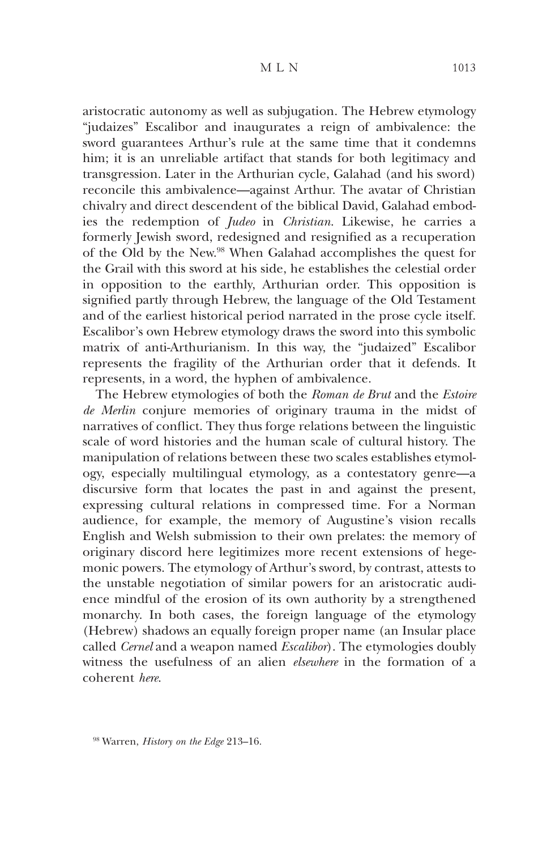aristocratic autonomy as well as subjugation. The Hebrew etymology "judaizes" Escalibor and inaugurates a reign of ambivalence: the sword guarantees Arthur's rule at the same time that it condemns him; it is an unreliable artifact that stands for both legitimacy and transgression. Later in the Arthurian cycle, Galahad (and his sword) reconcile this ambivalence—against Arthur. The avatar of Christian chivalry and direct descendent of the biblical David, Galahad embodies the redemption of *Judeo* in *Christian*. Likewise, he carries a formerly Jewish sword, redesigned and resignified as a recuperation of the Old by the New.<sup>98</sup> When Galahad accomplishes the quest for the Grail with this sword at his side, he establishes the celestial order in opposition to the earthly, Arthurian order. This opposition is signified partly through Hebrew, the language of the Old Testament and of the earliest historical period narrated in the prose cycle itself. Escalibor's own Hebrew etymology draws the sword into this symbolic matrix of anti-Arthurianism. In this way, the "judaized" Escalibor represents the fragility of the Arthurian order that it defends. It represents, in a word, the hyphen of ambivalence.

The Hebrew etymologies of both the *Roman de Brut* and the *Estoire de Merlin* conjure memories of originary trauma in the midst of narratives of conflict. They thus forge relations between the linguistic scale of word histories and the human scale of cultural history. The manipulation of relations between these two scales establishes etymology, especially multilingual etymology, as a contestatory genre—a discursive form that locates the past in and against the present, expressing cultural relations in compressed time. For a Norman audience, for example, the memory of Augustine's vision recalls English and Welsh submission to their own prelates: the memory of originary discord here legitimizes more recent extensions of hegemonic powers. The etymology of Arthur's sword, by contrast, attests to the unstable negotiation of similar powers for an aristocratic audience mindful of the erosion of its own authority by a strengthened monarchy. In both cases, the foreign language of the etymology (Hebrew) shadows an equally foreign proper name (an Insular place called *Cernel* and a weapon named *Escalibor*). The etymologies doubly witness the usefulness of an alien *elsewhere* in the formation of a coherent *here*.

<sup>98</sup> Warren, *History on the Edge* 213–16.